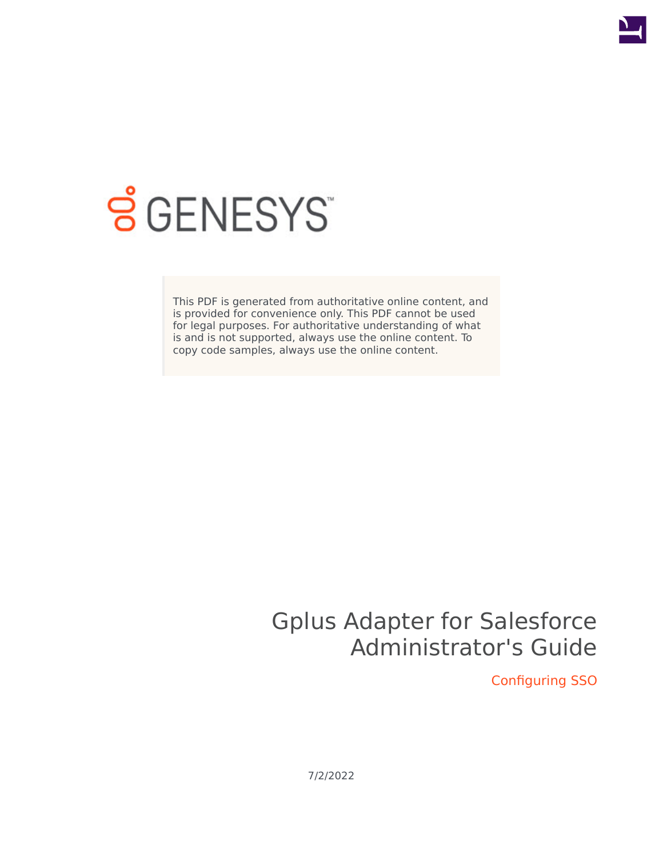

# **SGENESYS**

This PDF is generated from authoritative online content, and is provided for convenience only. This PDF cannot be used for legal purposes. For authoritative understanding of what is and is not supported, always use the online content. To copy code samples, always use the online content.

## Gplus Adapter for Salesforce Administrator's Guide

Configuring SSO

7/2/2022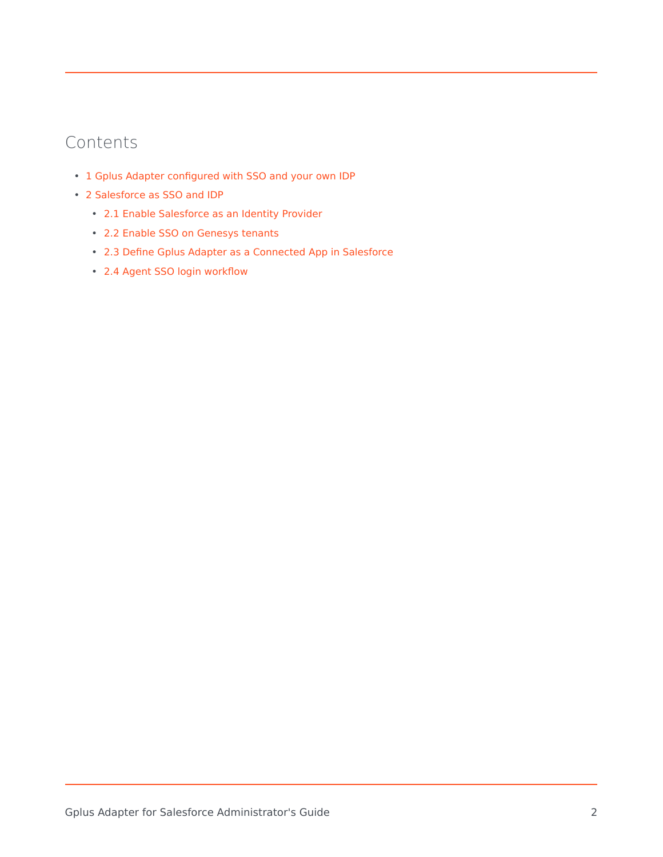## Contents

- 1 [Gplus Adapter configured with SSO and your own IDP](#page-2-0)
- 2 [Salesforce as SSO and IDP](#page-3-0)
	- 2.1 [Enable Salesforce as an Identity Provider](#page-3-1)
	- 2.2 [Enable SSO on Genesys tenants](#page-3-2)
	- 2.3 [Define Gplus Adapter as a Connected App in Salesforce](#page-4-0)
	- 2.4 [Agent SSO login workflow](#page-6-0)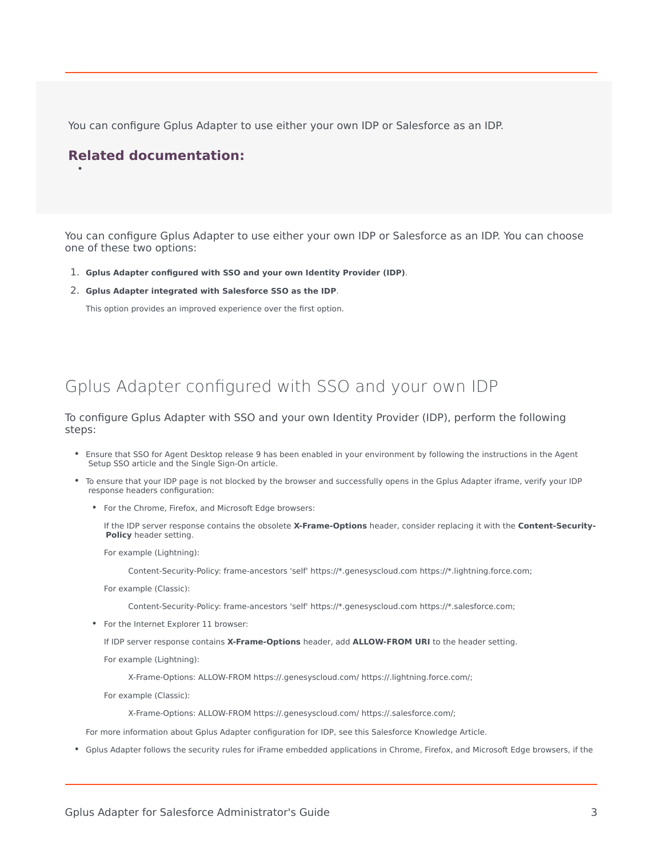You can configure Gplus Adapter to use either your own IDP or Salesforce as an IDP.

#### **Related documentation:**

•

You can configure Gplus Adapter to use either your own IDP or Salesforce as an IDP. You can choose one of these two options:

- 1. **Gplus Adapter configured with SSO and your own Identity Provider (IDP)**.
- 2. **Gplus Adapter integrated with Salesforce SSO as the IDP**.

This option provides an improved experience over the first option.

## <span id="page-2-0"></span>Gplus Adapter configured with SSO and your own IDP

To configure Gplus Adapter with SSO and your own Identity Provider (IDP), perform the following steps:

- Ensure that SSO for Agent Desktop release 9 has been enabled in your environment by following the instructions in the Agent Setup SSO article and the Single Sign-On article.
- To ensure that your IDP page is not blocked by the browser and successfully opens in the Gplus Adapter iframe, verify your IDP response headers configuration:
	- For the Chrome, Firefox, and Microsoft Edge browsers:

If the IDP server response contains the obsolete **X-Frame-Options** header, consider replacing it with the **Content-Security-Policy** header setting.

For example (Lightning):

Content-Security-Policy: frame-ancestors 'self' https://\*.genesyscloud.com https://\*.lightning.force.com;

For example (Classic):

Content-Security-Policy: frame-ancestors 'self' https://\*.genesyscloud.com https://\*.salesforce.com;

• For the Internet Explorer 11 browser:

If IDP server response contains **X-Frame-Options** header, add **ALLOW-FROM URI** to the header setting.

For example (Lightning):

X-Frame-Options: ALLOW-FROM https://.genesyscloud.com/ https://.lightning.force.com/;

For example (Classic):

X-Frame-Options: ALLOW-FROM https://.genesyscloud.com/ https://.salesforce.com/;

For more information about Gplus Adapter configuration for IDP, see this Salesforce Knowledge Article.

• Gplus Adapter follows the security rules for iFrame embedded applications in Chrome, Firefox, and Microsoft Edge browsers, if the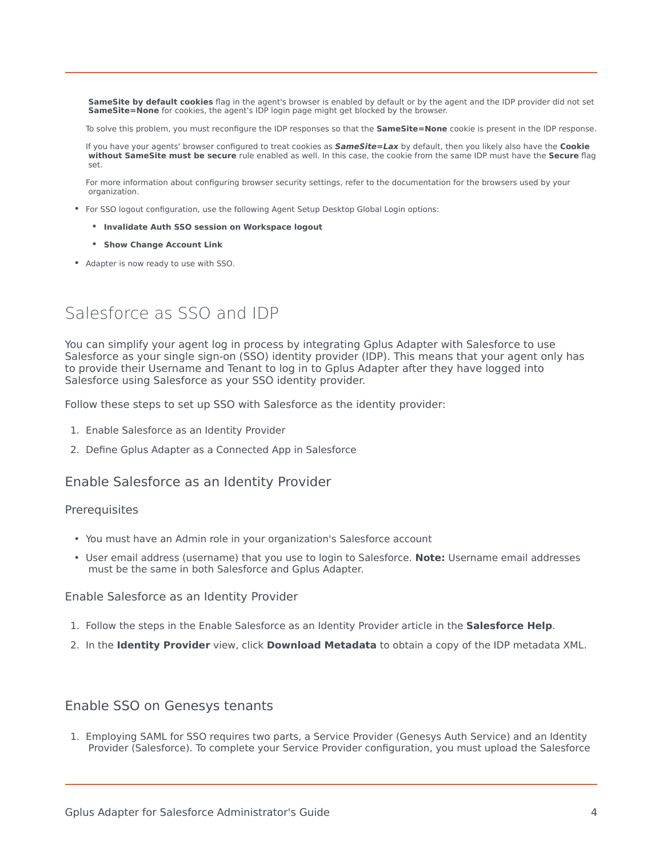**SameSite by default cookies** flag in the agent's browser is enabled by default or by the agent and the IDP provider did not set **SameSite=None** for cookies, the agent's IDP login page might get blocked by the browser.

To solve this problem, you must reconfigure the IDP responses so that the **SameSite=None** cookie is present in the IDP response.

If you have your agents' browser configured to treat cookies as *SameSite=Lax* by default, then you likely also have the **Cookie without SameSite must be secure** rule enabled as well. In this case, the cookie from the same IDP must have the **Secure** flag set.

For more information about configuring browser security settings, refer to the documentation for the browsers used by your organization.

- For SSO logout configuration, use the following Agent Setup Desktop Global Login options:
	- **Invalidate Auth SSO session on Workspace logout**
	- **Show Change Account Link**
- Adapter is now ready to use with SSO.

## <span id="page-3-0"></span>Salesforce as SSO and IDP

You can simplify your agent log in process by integrating Gplus Adapter with Salesforce to use Salesforce as your single sign-on (SSO) identity provider (IDP). This means that your agent only has to provide their Username and Tenant to log in to Gplus Adapter after they have logged into Salesforce using Salesforce as your SSO identity provider.

Follow these steps to set up SSO with Salesforce as the identity provider:

- 1. Enable Salesforce as an Identity Provider
- 2. Define Gplus Adapter as a Connected App in Salesforce

#### <span id="page-3-1"></span>Enable Salesforce as an Identity Provider

#### **Prerequisites**

- You must have an Admin role in your organization's Salesforce account
- User email address (username) that you use to login to Salesforce. **Note:** Username email addresses must be the same in both Salesforce and Gplus Adapter.

#### Enable Salesforce as an Identity Provider

- 1. Follow the steps in the Enable Salesforce as an Identity Provider article in the **Salesforce Help**.
- 2. In the **Identity Provider** view, click **Download Metadata** to obtain a copy of the IDP metadata XML.

#### <span id="page-3-2"></span>Enable SSO on Genesys tenants

1. Employing SAML for SSO requires two parts, a Service Provider (Genesys Auth Service) and an Identity Provider (Salesforce). To complete your Service Provider configuration, you must upload the Salesforce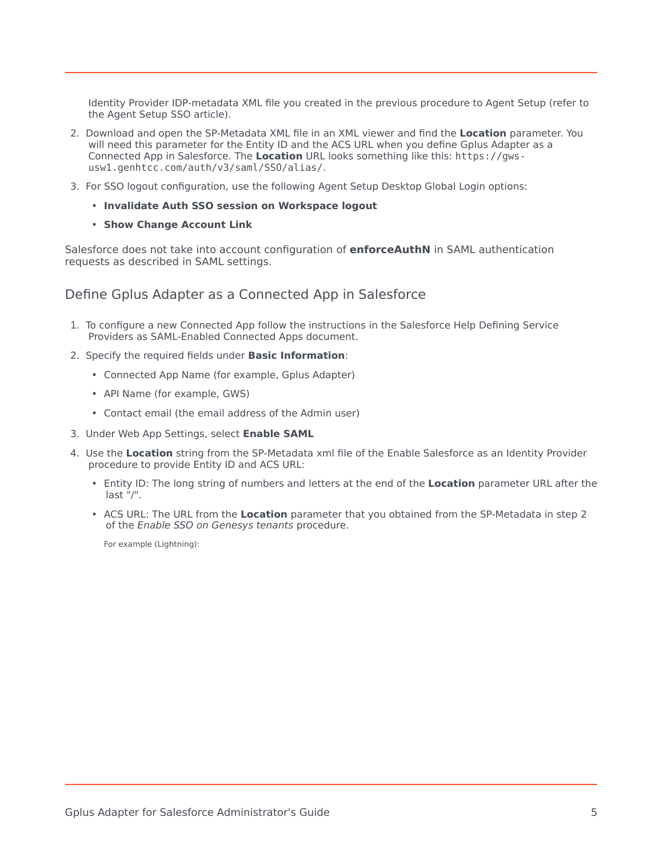Identity Provider IDP-metadata XML file you created in the previous procedure to Agent Setup (refer to the Agent Setup SSO article).

- 2. Download and open the SP-Metadata XML file in an XML viewer and find the **Location** parameter. You will need this parameter for the Entity ID and the ACS URL when you define Gplus Adapter as a Connected App in Salesforce. The **Location** URL looks something like this: https://gwsusw1.genhtcc.com/auth/v3/saml/SSO/alias/.
- 3. For SSO logout configuration, use the following Agent Setup Desktop Global Login options:
	- **Invalidate Auth SSO session on Workspace logout**
	- **Show Change Account Link**

Salesforce does not take into account configuration of **enforceAuthN** in SAML authentication requests as described in SAML settings.

#### <span id="page-4-0"></span>Define Gplus Adapter as a Connected App in Salesforce

- 1. To configure a new Connected App follow the instructions in the Salesforce Help Defining Service Providers as SAML-Enabled Connected Apps document.
- 2. Specify the required fields under **Basic Information**:
	- Connected App Name (for example, Gplus Adapter)
	- API Name (for example, GWS)
	- Contact email (the email address of the Admin user)
- 3. Under Web App Settings, select **Enable SAML**
- 4. Use the **Location** string from the SP-Metadata xml file of the Enable Salesforce as an Identity Provider procedure to provide Entity ID and ACS URL:
	- Entity ID: The long string of numbers and letters at the end of the **Location** parameter URL after the last "/".
	- ACS URL: The URL from the **Location** parameter that you obtained from the SP-Metadata in step 2 of the *Enable SSO on Genesys tenants* procedure.

For example (Lightning):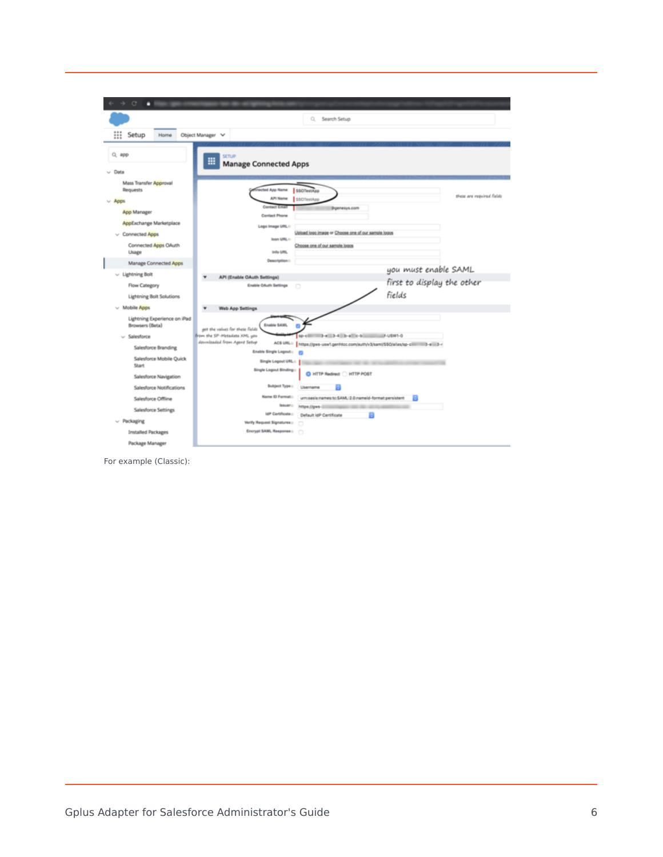

For example (Classic):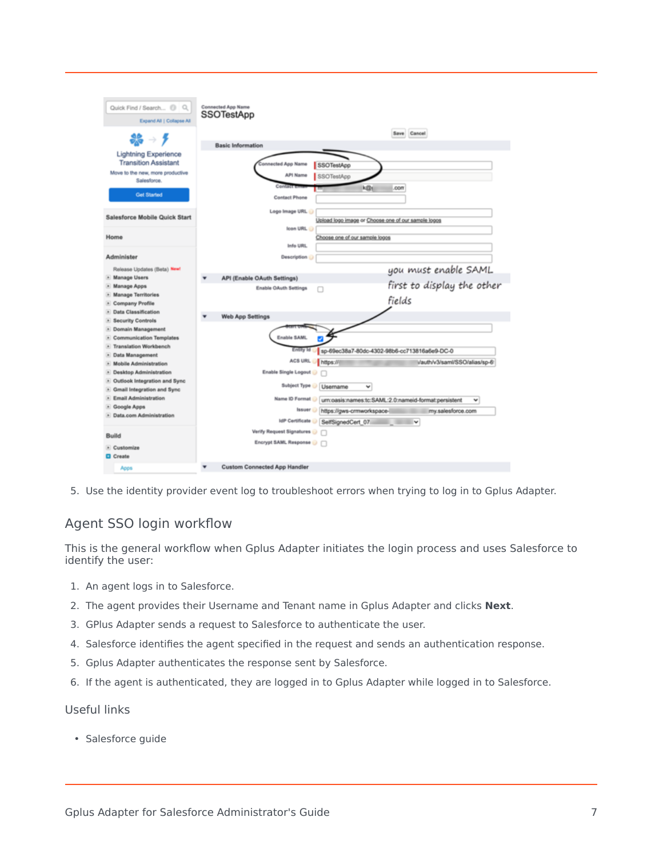

5. Use the identity provider event log to troubleshoot errors when trying to log in to Gplus Adapter.

### <span id="page-6-0"></span>Agent SSO login workflow

This is the general workflow when Gplus Adapter initiates the login process and uses Salesforce to identify the user:

- 1. An agent logs in to Salesforce.
- 2. The agent provides their Username and Tenant name in Gplus Adapter and clicks **Next**.
- 3. GPlus Adapter sends a request to Salesforce to authenticate the user.
- 4. Salesforce identifies the agent specified in the request and sends an authentication response.
- 5. Gplus Adapter authenticates the response sent by Salesforce.
- 6. If the agent is authenticated, they are logged in to Gplus Adapter while logged in to Salesforce.

#### Useful links

• Salesforce guide